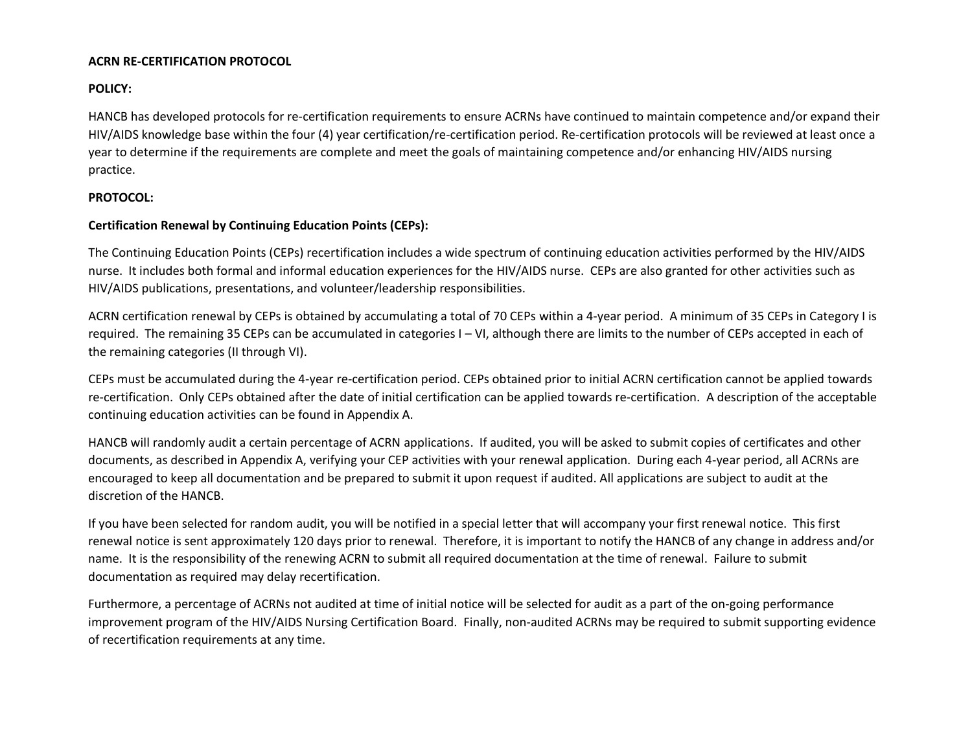## **ACRN RE-CERTIFICATION PROTOCOL**

# **POLICY:**

HANCB has developed protocols for re-certification requirements to ensure ACRNs have continued to maintain competence and/or expand their HIV/AIDS knowledge base within the four (4) year certification/re-certification period. Re-certification protocols will be reviewed at least once a year to determine if the requirements are complete and meet the goals of maintaining competence and/or enhancing HIV/AIDS nursing practice.

## **PROTOCOL:**

## **Certification Renewal by Continuing Education Points (CEPs):**

The Continuing Education Points (CEPs) recertification includes a wide spectrum of continuing education activities performed by the HIV/AIDS nurse. It includes both formal and informal education experiences for the HIV/AIDS nurse. CEPs are also granted for other activities such as HIV/AIDS publications, presentations, and volunteer/leadership responsibilities.

ACRN certification renewal by CEPs is obtained by accumulating a total of 70 CEPs within a 4-year period. A minimum of 35 CEPs in Category I is required. The remaining 35 CEPs can be accumulated in categories I – VI, although there are limits to the number of CEPs accepted in each of the remaining categories (II through VI).

CEPs must be accumulated during the 4-year re-certification period. CEPs obtained prior to initial ACRN certification cannot be applied towards re-certification. Only CEPs obtained after the date of initial certification can be applied towards re-certification. A description of the acceptable continuing education activities can be found in Appendix A.

HANCB will randomly audit a certain percentage of ACRN applications. If audited, you will be asked to submit copies of certificates and other documents, as described in Appendix A, verifying your CEP activities with your renewal application. During each 4-year period, all ACRNs are encouraged to keep all documentation and be prepared to submit it upon request if audited. All applications are subject to audit at the discretion of the HANCB.

If you have been selected for random audit, you will be notified in a special letter that will accompany your first renewal notice. This first renewal notice is sent approximately 120 days prior to renewal. Therefore, it is important to notify the HANCB of any change in address and/or name. It is the responsibility of the renewing ACRN to submit all required documentation at the time of renewal. Failure to submit documentation as required may delay recertification.

Furthermore, a percentage of ACRNs not audited at time of initial notice will be selected for audit as a part of the on-going performance improvement program of the HIV/AIDS Nursing Certification Board. Finally, non-audited ACRNs may be required to submit supporting evidence of recertification requirements at any time.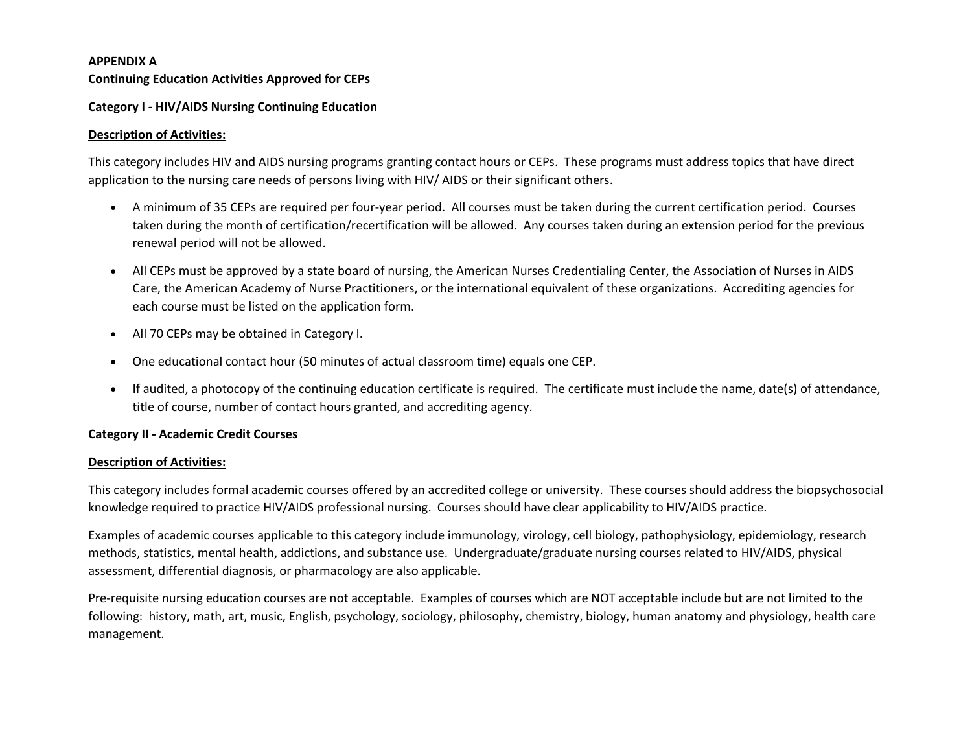#### **APPENDIX A**

## **Continuing Education Activities Approved for CEPs**

## **Category I - HIV/AIDS Nursing Continuing Education**

## **Description of Activities:**

This category includes HIV and AIDS nursing programs granting contact hours or CEPs. These programs must address topics that have direct application to the nursing care needs of persons living with HIV/ AIDS or their significant others.

- A minimum of 35 CEPs are required per four-year period. All courses must be taken during the current certification period. Courses taken during the month of certification/recertification will be allowed. Any courses taken during an extension period for the previous renewal period will not be allowed.
- All CEPs must be approved by a state board of nursing, the American Nurses Credentialing Center, the Association of Nurses in AIDS Care, the American Academy of Nurse Practitioners, or the international equivalent of these organizations. Accrediting agencies for each course must be listed on the application form.
- All 70 CEPs may be obtained in Category I.
- One educational contact hour (50 minutes of actual classroom time) equals one CEP.
- If audited, a photocopy of the continuing education certificate is required. The certificate must include the name, date(s) of attendance, title of course, number of contact hours granted, and accrediting agency.

## **Category II - Academic Credit Courses**

## **Description of Activities:**

This category includes formal academic courses offered by an accredited college or university. These courses should address the biopsychosocial knowledge required to practice HIV/AIDS professional nursing. Courses should have clear applicability to HIV/AIDS practice.

Examples of academic courses applicable to this category include immunology, virology, cell biology, pathophysiology, epidemiology, research methods, statistics, mental health, addictions, and substance use. Undergraduate/graduate nursing courses related to HIV/AIDS, physical assessment, differential diagnosis, or pharmacology are also applicable.

Pre-requisite nursing education courses are not acceptable. Examples of courses which are NOT acceptable include but are not limited to the following: history, math, art, music, English, psychology, sociology, philosophy, chemistry, biology, human anatomy and physiology, health care management.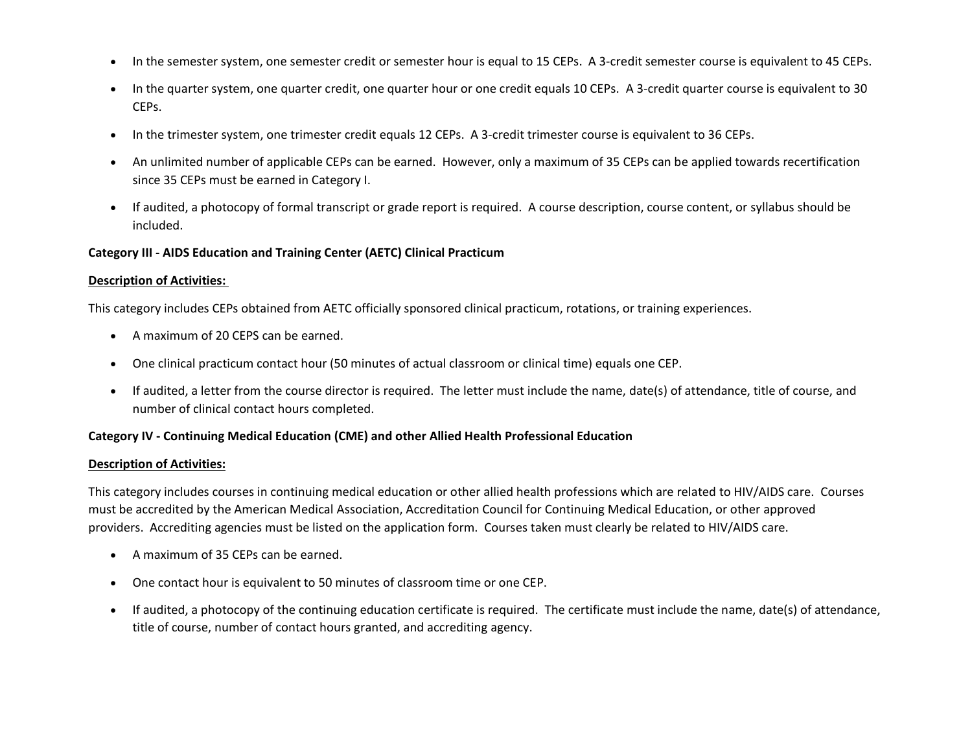- In the semester system, one semester credit or semester hour is equal to 15 CEPs. A 3-credit semester course is equivalent to 45 CEPs.
- In the quarter system, one quarter credit, one quarter hour or one credit equals 10 CEPs. A 3-credit quarter course is equivalent to 30 CEPs.
- In the trimester system, one trimester credit equals 12 CEPs. A 3-credit trimester course is equivalent to 36 CEPs.
- An unlimited number of applicable CEPs can be earned. However, only a maximum of 35 CEPs can be applied towards recertification since 35 CEPs must be earned in Category I.
- If audited, a photocopy of formal transcript or grade report is required. A course description, course content, or syllabus should be included.

## **Category III - AIDS Education and Training Center (AETC) Clinical Practicum**

#### **Description of Activities:**

This category includes CEPs obtained from AETC officially sponsored clinical practicum, rotations, or training experiences.

- A maximum of 20 CEPS can be earned.
- One clinical practicum contact hour (50 minutes of actual classroom or clinical time) equals one CEP.
- If audited, a letter from the course director is required. The letter must include the name, date(s) of attendance, title of course, and number of clinical contact hours completed.

#### **Category IV - Continuing Medical Education (CME) and other Allied Health Professional Education**

#### **Description of Activities:**

This category includes courses in continuing medical education or other allied health professions which are related to HIV/AIDS care. Courses must be accredited by the American Medical Association, Accreditation Council for Continuing Medical Education, or other approved providers. Accrediting agencies must be listed on the application form. Courses taken must clearly be related to HIV/AIDS care.

- A maximum of 35 CEPs can be earned.
- One contact hour is equivalent to 50 minutes of classroom time or one CEP.
- If audited, a photocopy of the continuing education certificate is required. The certificate must include the name, date(s) of attendance, title of course, number of contact hours granted, and accrediting agency.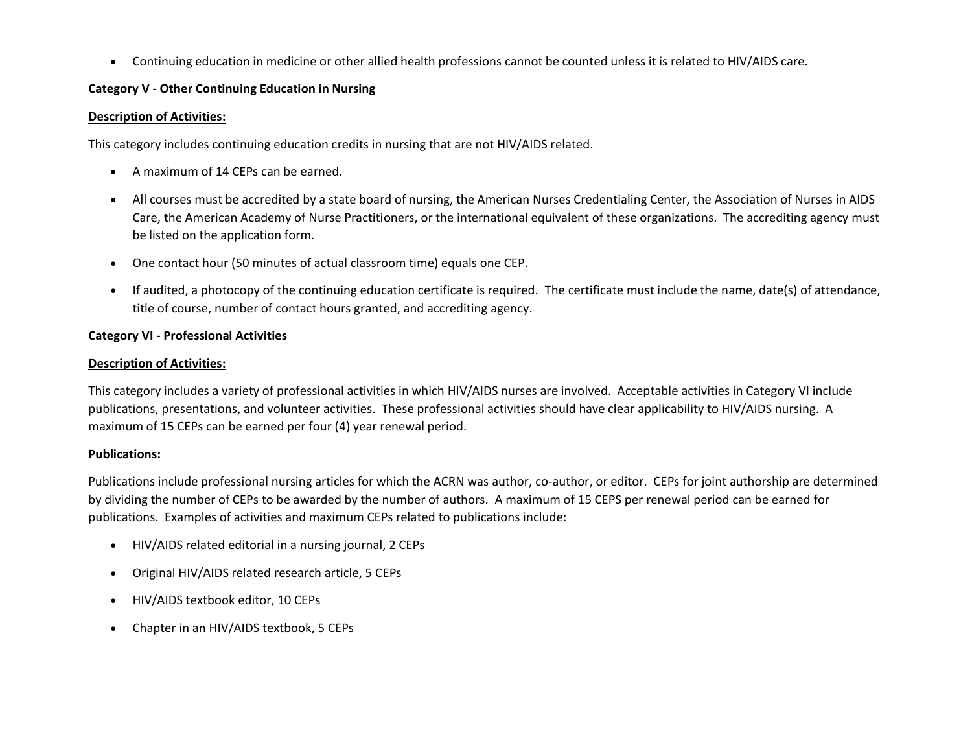• Continuing education in medicine or other allied health professions cannot be counted unless it is related to HIV/AIDS care.

# **Category V - Other Continuing Education in Nursing**

# **Description of Activities:**

This category includes continuing education credits in nursing that are not HIV/AIDS related.

- A maximum of 14 CEPs can be earned.
- All courses must be accredited by a state board of nursing, the American Nurses Credentialing Center, the Association of Nurses in AIDS Care, the American Academy of Nurse Practitioners, or the international equivalent of these organizations. The accrediting agency must be listed on the application form.
- One contact hour (50 minutes of actual classroom time) equals one CEP.
- If audited, a photocopy of the continuing education certificate is required. The certificate must include the name, date(s) of attendance, title of course, number of contact hours granted, and accrediting agency.

# **Category VI - Professional Activities**

# **Description of Activities:**

This category includes a variety of professional activities in which HIV/AIDS nurses are involved. Acceptable activities in Category VI include publications, presentations, and volunteer activities. These professional activities should have clear applicability to HIV/AIDS nursing. A maximum of 15 CEPs can be earned per four (4) year renewal period.

# **Publications:**

Publications include professional nursing articles for which the ACRN was author, co-author, or editor. CEPs for joint authorship are determined by dividing the number of CEPs to be awarded by the number of authors. A maximum of 15 CEPS per renewal period can be earned for publications. Examples of activities and maximum CEPs related to publications include:

- HIV/AIDS related editorial in a nursing journal, 2 CEPs
- Original HIV/AIDS related research article, 5 CEPs
- HIV/AIDS textbook editor, 10 CEPs
- Chapter in an HIV/AIDS textbook, 5 CEPs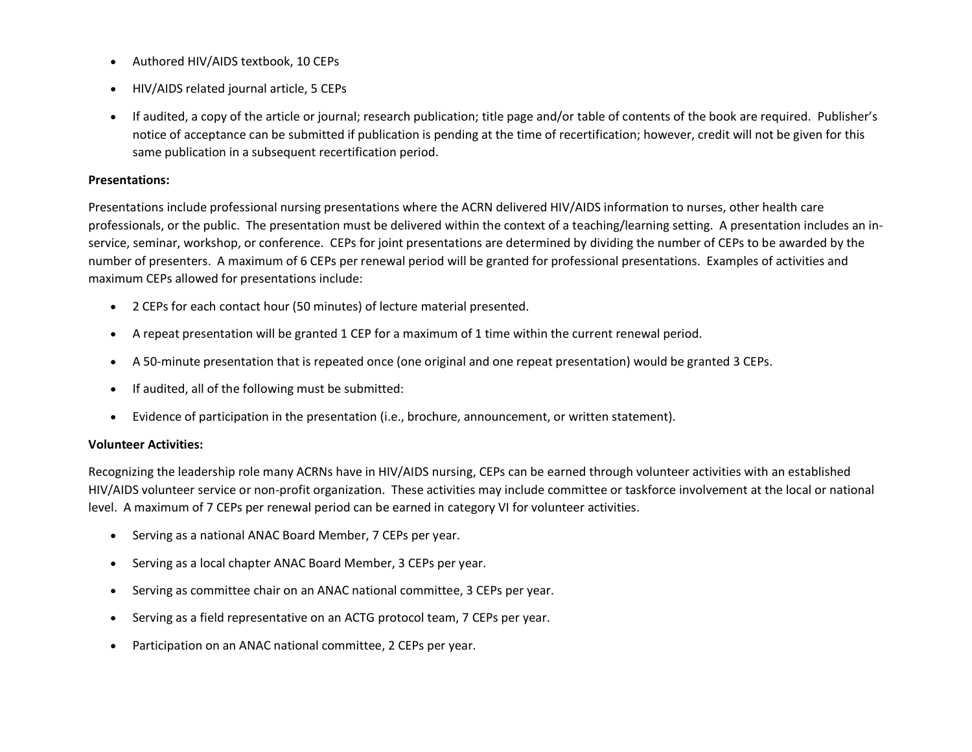- Authored HIV/AIDS textbook, 10 CEPs
- HIV/AIDS related journal article, 5 CEPs
- If audited, a copy of the article or journal; research publication; title page and/or table of contents of the book are required. Publisher's notice of acceptance can be submitted if publication is pending at the time of recertification; however, credit will not be given for this same publication in a subsequent recertification period.

#### **Presentations:**

Presentations include professional nursing presentations where the ACRN delivered HIV/AIDS information to nurses, other health care professionals, or the public. The presentation must be delivered within the context of a teaching/learning setting. A presentation includes an inservice, seminar, workshop, or conference. CEPs for joint presentations are determined by dividing the number of CEPs to be awarded by the number of presenters. A maximum of 6 CEPs per renewal period will be granted for professional presentations. Examples of activities and maximum CEPs allowed for presentations include:

- 2 CEPs for each contact hour (50 minutes) of lecture material presented.
- A repeat presentation will be granted 1 CEP for a maximum of 1 time within the current renewal period.
- A 50-minute presentation that is repeated once (one original and one repeat presentation) would be granted 3 CEPs.
- If audited, all of the following must be submitted:
- Evidence of participation in the presentation (i.e., brochure, announcement, or written statement).

## **Volunteer Activities:**

Recognizing the leadership role many ACRNs have in HIV/AIDS nursing, CEPs can be earned through volunteer activities with an established HIV/AIDS volunteer service or non-profit organization. These activities may include committee or taskforce involvement at the local or national level. A maximum of 7 CEPs per renewal period can be earned in category VI for volunteer activities.

- Serving as a national ANAC Board Member, 7 CEPs per year.
- Serving as a local chapter ANAC Board Member, 3 CEPs per year.
- Serving as committee chair on an ANAC national committee, 3 CEPs per year.
- Serving as a field representative on an ACTG protocol team, 7 CEPs per year.
- Participation on an ANAC national committee, 2 CEPs per year.